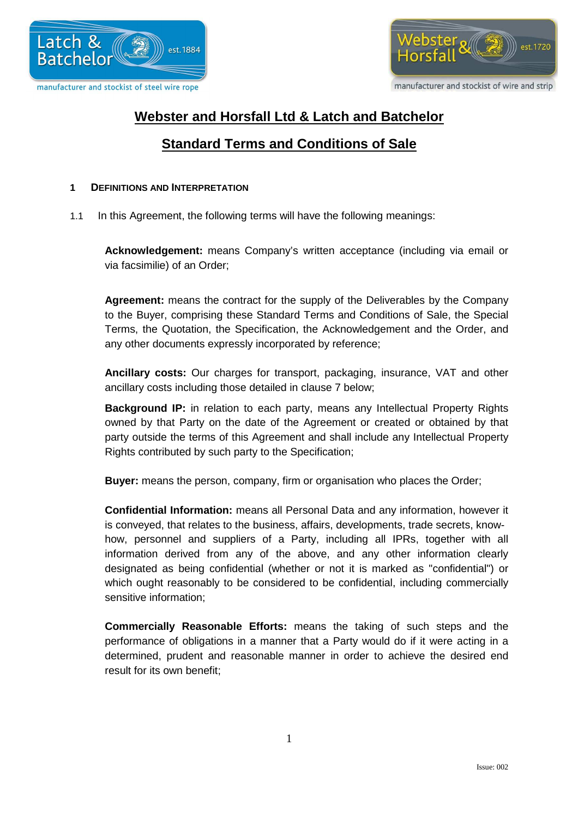



# **Webster and Horsfall Ltd & Latch and Batchelor**

# **Standard Terms and Conditions of Sale**

### **1 DEFINITIONS AND INTERPRETATION**

1.1 In this Agreement, the following terms will have the following meanings:

**Acknowledgement:** means Company's written acceptance (including via email or via facsimilie) of an Order;

**Agreement:** means the contract for the supply of the Deliverables by the Company to the Buyer, comprising these Standard Terms and Conditions of Sale, the Special Terms, the Quotation, the Specification, the Acknowledgement and the Order, and any other documents expressly incorporated by reference;

**Ancillary costs:** Our charges for transport, packaging, insurance, VAT and other ancillary costs including those detailed in clause 7 below;

**Background IP:** in relation to each party, means any Intellectual Property Rights owned by that Party on the date of the Agreement or created or obtained by that party outside the terms of this Agreement and shall include any Intellectual Property Rights contributed by such party to the Specification;

**Buyer:** means the person, company, firm or organisation who places the Order;

**Confidential Information:** means all Personal Data and any information, however it is conveyed, that relates to the business, affairs, developments, trade secrets, knowhow, personnel and suppliers of a Party, including all IPRs, together with all information derived from any of the above, and any other information clearly designated as being confidential (whether or not it is marked as "confidential") or which ought reasonably to be considered to be confidential, including commercially sensitive information;

**Commercially Reasonable Efforts:** means the taking of such steps and the performance of obligations in a manner that a Party would do if it were acting in a determined, prudent and reasonable manner in order to achieve the desired end result for its own benefit;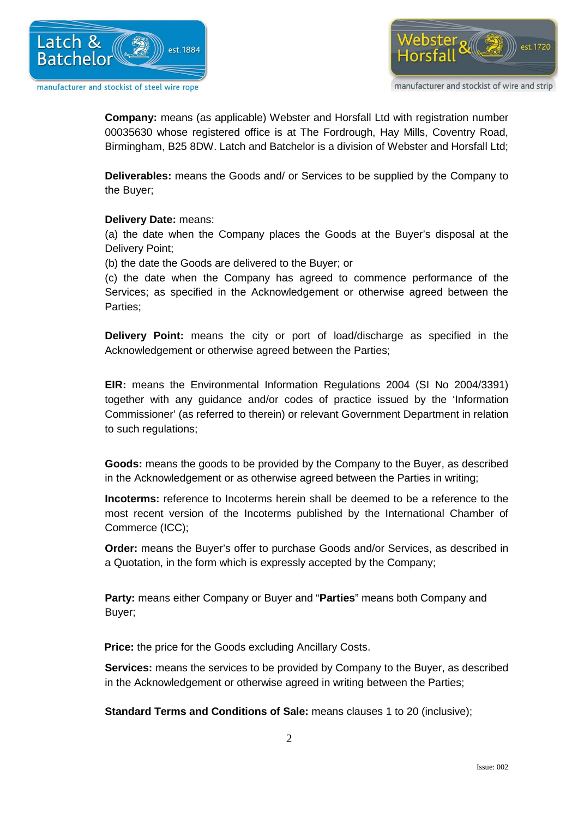



**Company:** means (as applicable) Webster and Horsfall Ltd with registration number 00035630 whose registered office is at The Fordrough, Hay Mills, Coventry Road, Birmingham, B25 8DW. Latch and Batchelor is a division of Webster and Horsfall Ltd;

**Deliverables:** means the Goods and/ or Services to be supplied by the Company to the Buyer;

# **Delivery Date:** means:

(a) the date when the Company places the Goods at the Buyer's disposal at the Delivery Point;

(b) the date the Goods are delivered to the Buyer; or

(c) the date when the Company has agreed to commence performance of the Services; as specified in the Acknowledgement or otherwise agreed between the Parties;

**Delivery Point:** means the city or port of load/discharge as specified in the Acknowledgement or otherwise agreed between the Parties;

**EIR:** means the Environmental Information Regulations 2004 (SI No 2004/3391) together with any guidance and/or codes of practice issued by the 'Information Commissioner' (as referred to therein) or relevant Government Department in relation to such regulations;

**Goods:** means the goods to be provided by the Company to the Buyer, as described in the Acknowledgement or as otherwise agreed between the Parties in writing;

**Incoterms:** reference to Incoterms herein shall be deemed to be a reference to the most recent version of the Incoterms published by the International Chamber of Commerce (ICC);

**Order:** means the Buyer's offer to purchase Goods and/or Services, as described in a Quotation, in the form which is expressly accepted by the Company;

**Party:** means either Company or Buyer and "**Parties**" means both Company and Buyer;

 **Price:** the price for the Goods excluding Ancillary Costs.

**Services:** means the services to be provided by Company to the Buyer, as described in the Acknowledgement or otherwise agreed in writing between the Parties;

**Standard Terms and Conditions of Sale:** means clauses 1 to 20 (inclusive);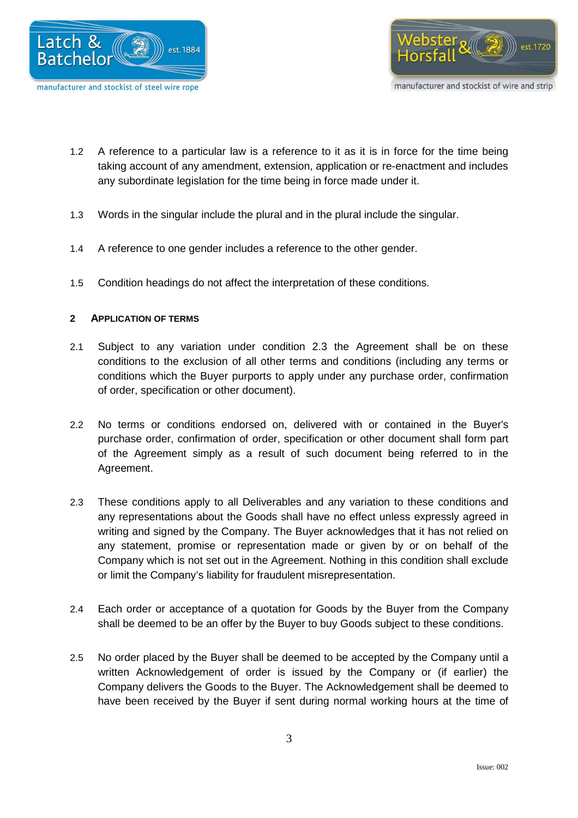



- 1.2 A reference to a particular law is a reference to it as it is in force for the time being taking account of any amendment, extension, application or re-enactment and includes any subordinate legislation for the time being in force made under it.
- 1.3 Words in the singular include the plural and in the plural include the singular.
- 1.4 A reference to one gender includes a reference to the other gender.
- 1.5 Condition headings do not affect the interpretation of these conditions.

# **2 APPLICATION OF TERMS**

- 2.1 Subject to any variation under condition 2.3 the Agreement shall be on these conditions to the exclusion of all other terms and conditions (including any terms or conditions which the Buyer purports to apply under any purchase order, confirmation of order, specification or other document).
- 2.2 No terms or conditions endorsed on, delivered with or contained in the Buyer's purchase order, confirmation of order, specification or other document shall form part of the Agreement simply as a result of such document being referred to in the Agreement.
- 2.3 These conditions apply to all Deliverables and any variation to these conditions and any representations about the Goods shall have no effect unless expressly agreed in writing and signed by the Company. The Buyer acknowledges that it has not relied on any statement, promise or representation made or given by or on behalf of the Company which is not set out in the Agreement. Nothing in this condition shall exclude or limit the Company's liability for fraudulent misrepresentation.
- 2.4 Each order or acceptance of a quotation for Goods by the Buyer from the Company shall be deemed to be an offer by the Buyer to buy Goods subject to these conditions.
- 2.5 No order placed by the Buyer shall be deemed to be accepted by the Company until a written Acknowledgement of order is issued by the Company or (if earlier) the Company delivers the Goods to the Buyer. The Acknowledgement shall be deemed to have been received by the Buyer if sent during normal working hours at the time of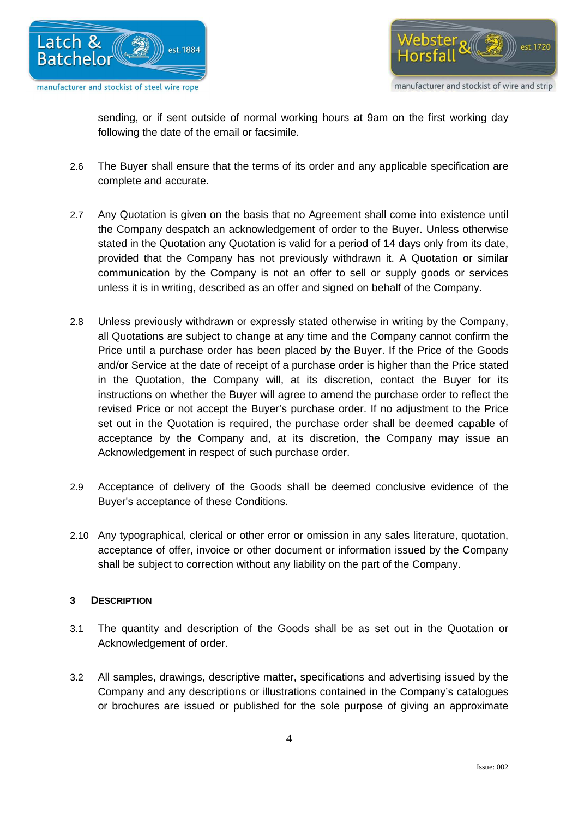



sending, or if sent outside of normal working hours at 9am on the first working day following the date of the email or facsimile.

- 2.6 The Buyer shall ensure that the terms of its order and any applicable specification are complete and accurate.
- 2.7 Any Quotation is given on the basis that no Agreement shall come into existence until the Company despatch an acknowledgement of order to the Buyer. Unless otherwise stated in the Quotation any Quotation is valid for a period of 14 days only from its date, provided that the Company has not previously withdrawn it. A Quotation or similar communication by the Company is not an offer to sell or supply goods or services unless it is in writing, described as an offer and signed on behalf of the Company.
- 2.8 Unless previously withdrawn or expressly stated otherwise in writing by the Company, all Quotations are subject to change at any time and the Company cannot confirm the Price until a purchase order has been placed by the Buyer. If the Price of the Goods and/or Service at the date of receipt of a purchase order is higher than the Price stated in the Quotation, the Company will, at its discretion, contact the Buyer for its instructions on whether the Buyer will agree to amend the purchase order to reflect the revised Price or not accept the Buyer's purchase order. If no adjustment to the Price set out in the Quotation is required, the purchase order shall be deemed capable of acceptance by the Company and, at its discretion, the Company may issue an Acknowledgement in respect of such purchase order.
- 2.9 Acceptance of delivery of the Goods shall be deemed conclusive evidence of the Buyer's acceptance of these Conditions.
- 2.10 Any typographical, clerical or other error or omission in any sales literature, quotation, acceptance of offer, invoice or other document or information issued by the Company shall be subject to correction without any liability on the part of the Company.

# **3 DESCRIPTION**

- 3.1 The quantity and description of the Goods shall be as set out in the Quotation or Acknowledgement of order.
- 3.2 All samples, drawings, descriptive matter, specifications and advertising issued by the Company and any descriptions or illustrations contained in the Company's catalogues or brochures are issued or published for the sole purpose of giving an approximate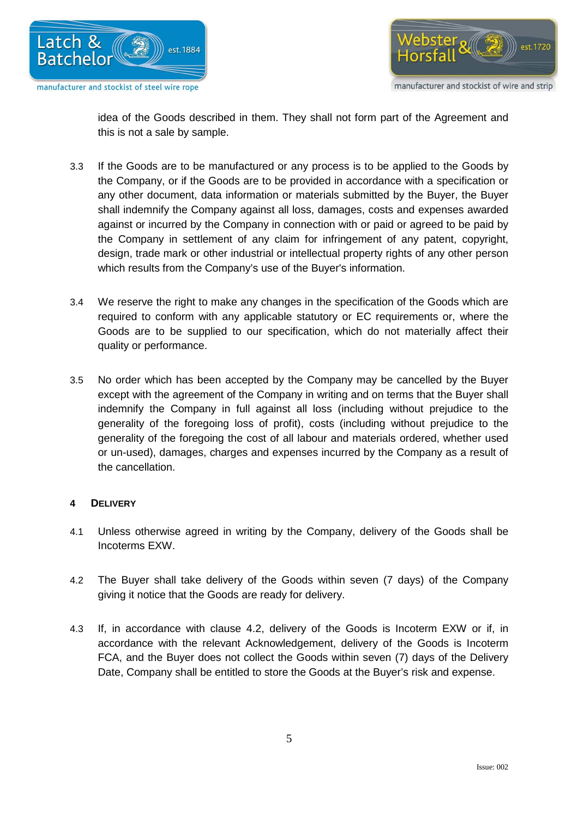



idea of the Goods described in them. They shall not form part of the Agreement and this is not a sale by sample.

- 3.3 If the Goods are to be manufactured or any process is to be applied to the Goods by the Company, or if the Goods are to be provided in accordance with a specification or any other document, data information or materials submitted by the Buyer, the Buyer shall indemnify the Company against all loss, damages, costs and expenses awarded against or incurred by the Company in connection with or paid or agreed to be paid by the Company in settlement of any claim for infringement of any patent, copyright, design, trade mark or other industrial or intellectual property rights of any other person which results from the Company's use of the Buyer's information.
- 3.4 We reserve the right to make any changes in the specification of the Goods which are required to conform with any applicable statutory or EC requirements or, where the Goods are to be supplied to our specification, which do not materially affect their quality or performance.
- 3.5 No order which has been accepted by the Company may be cancelled by the Buyer except with the agreement of the Company in writing and on terms that the Buyer shall indemnify the Company in full against all loss (including without prejudice to the generality of the foregoing loss of profit), costs (including without prejudice to the generality of the foregoing the cost of all labour and materials ordered, whether used or un-used), damages, charges and expenses incurred by the Company as a result of the cancellation.

# **4 DELIVERY**

- 4.1 Unless otherwise agreed in writing by the Company, delivery of the Goods shall be Incoterms EXW.
- 4.2 The Buyer shall take delivery of the Goods within seven (7 days) of the Company giving it notice that the Goods are ready for delivery.
- 4.3 If, in accordance with clause 4.2, delivery of the Goods is Incoterm EXW or if, in accordance with the relevant Acknowledgement, delivery of the Goods is Incoterm FCA, and the Buyer does not collect the Goods within seven (7) days of the Delivery Date, Company shall be entitled to store the Goods at the Buyer's risk and expense.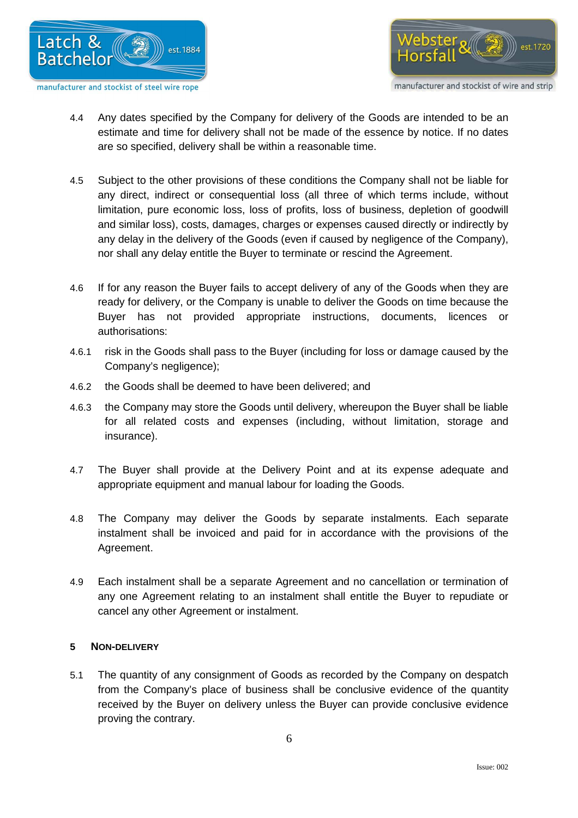



- 4.4 Any dates specified by the Company for delivery of the Goods are intended to be an estimate and time for delivery shall not be made of the essence by notice. If no dates are so specified, delivery shall be within a reasonable time.
- 4.5 Subject to the other provisions of these conditions the Company shall not be liable for any direct, indirect or consequential loss (all three of which terms include, without limitation, pure economic loss, loss of profits, loss of business, depletion of goodwill and similar loss), costs, damages, charges or expenses caused directly or indirectly by any delay in the delivery of the Goods (even if caused by negligence of the Company), nor shall any delay entitle the Buyer to terminate or rescind the Agreement.
- 4.6 If for any reason the Buyer fails to accept delivery of any of the Goods when they are ready for delivery, or the Company is unable to deliver the Goods on time because the Buyer has not provided appropriate instructions, documents, licences or authorisations:
- 4.6.1 risk in the Goods shall pass to the Buyer (including for loss or damage caused by the Company's negligence);
- 4.6.2 the Goods shall be deemed to have been delivered; and
- 4.6.3 the Company may store the Goods until delivery, whereupon the Buyer shall be liable for all related costs and expenses (including, without limitation, storage and insurance).
- 4.7 The Buyer shall provide at the Delivery Point and at its expense adequate and appropriate equipment and manual labour for loading the Goods.
- 4.8 The Company may deliver the Goods by separate instalments. Each separate instalment shall be invoiced and paid for in accordance with the provisions of the Agreement.
- 4.9 Each instalment shall be a separate Agreement and no cancellation or termination of any one Agreement relating to an instalment shall entitle the Buyer to repudiate or cancel any other Agreement or instalment.

# **5 NON-DELIVERY**

5.1 The quantity of any consignment of Goods as recorded by the Company on despatch from the Company's place of business shall be conclusive evidence of the quantity received by the Buyer on delivery unless the Buyer can provide conclusive evidence proving the contrary.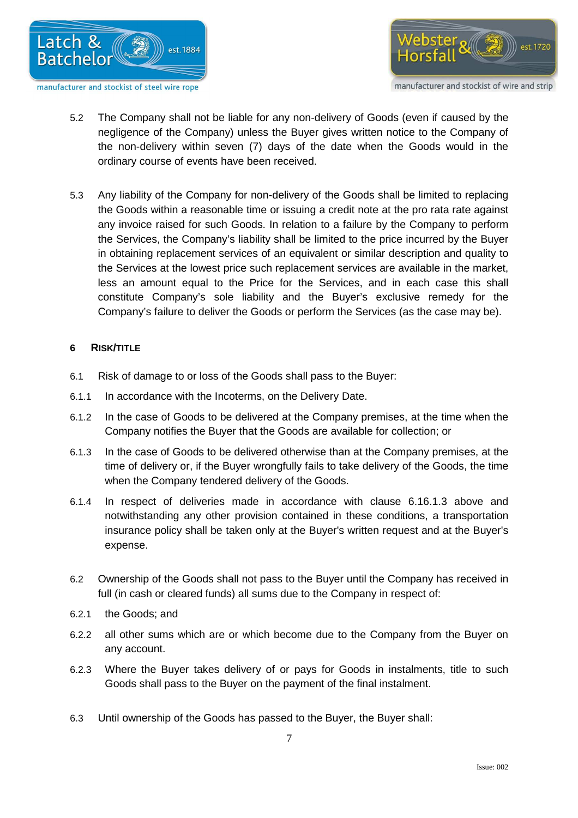



- 5.2 The Company shall not be liable for any non-delivery of Goods (even if caused by the negligence of the Company) unless the Buyer gives written notice to the Company of the non-delivery within seven (7) days of the date when the Goods would in the ordinary course of events have been received.
- 5.3 Any liability of the Company for non-delivery of the Goods shall be limited to replacing the Goods within a reasonable time or issuing a credit note at the pro rata rate against any invoice raised for such Goods. In relation to a failure by the Company to perform the Services, the Company's liability shall be limited to the price incurred by the Buyer in obtaining replacement services of an equivalent or similar description and quality to the Services at the lowest price such replacement services are available in the market, less an amount equal to the Price for the Services, and in each case this shall constitute Company's sole liability and the Buyer's exclusive remedy for the Company's failure to deliver the Goods or perform the Services (as the case may be).

# **6 RISK/TITLE**

- 6.1 Risk of damage to or loss of the Goods shall pass to the Buyer:
- 6.1.1 In accordance with the Incoterms, on the Delivery Date.
- 6.1.2 In the case of Goods to be delivered at the Company premises, at the time when the Company notifies the Buyer that the Goods are available for collection; or
- 6.1.3 In the case of Goods to be delivered otherwise than at the Company premises, at the time of delivery or, if the Buyer wrongfully fails to take delivery of the Goods, the time when the Company tendered delivery of the Goods.
- 6.1.4 In respect of deliveries made in accordance with clause 6.16.1.3 above and notwithstanding any other provision contained in these conditions, a transportation insurance policy shall be taken only at the Buyer's written request and at the Buyer's expense.
- 6.2 Ownership of the Goods shall not pass to the Buyer until the Company has received in full (in cash or cleared funds) all sums due to the Company in respect of:
- 6.2.1 the Goods; and
- 6.2.2 all other sums which are or which become due to the Company from the Buyer on any account.
- 6.2.3 Where the Buyer takes delivery of or pays for Goods in instalments, title to such Goods shall pass to the Buyer on the payment of the final instalment.
- 6.3 Until ownership of the Goods has passed to the Buyer, the Buyer shall: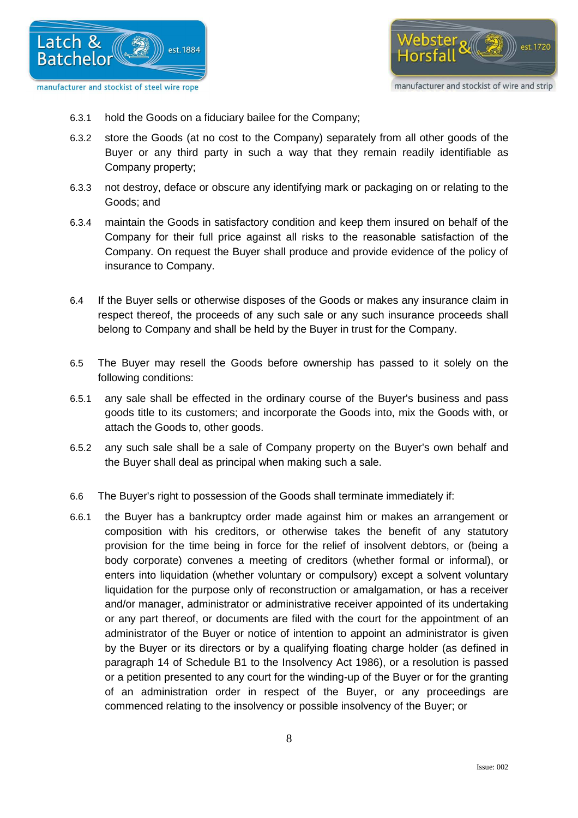



- 6.3.1 hold the Goods on a fiduciary bailee for the Company;
- 6.3.2 store the Goods (at no cost to the Company) separately from all other goods of the Buyer or any third party in such a way that they remain readily identifiable as Company property;
- 6.3.3 not destroy, deface or obscure any identifying mark or packaging on or relating to the Goods; and
- 6.3.4 maintain the Goods in satisfactory condition and keep them insured on behalf of the Company for their full price against all risks to the reasonable satisfaction of the Company. On request the Buyer shall produce and provide evidence of the policy of insurance to Company.
- 6.4 If the Buyer sells or otherwise disposes of the Goods or makes any insurance claim in respect thereof, the proceeds of any such sale or any such insurance proceeds shall belong to Company and shall be held by the Buyer in trust for the Company.
- 6.5 The Buyer may resell the Goods before ownership has passed to it solely on the following conditions:
- 6.5.1 any sale shall be effected in the ordinary course of the Buyer's business and pass goods title to its customers; and incorporate the Goods into, mix the Goods with, or attach the Goods to, other goods.
- 6.5.2 any such sale shall be a sale of Company property on the Buyer's own behalf and the Buyer shall deal as principal when making such a sale.
- 6.6 The Buyer's right to possession of the Goods shall terminate immediately if:
- 6.6.1 the Buyer has a bankruptcy order made against him or makes an arrangement or composition with his creditors, or otherwise takes the benefit of any statutory provision for the time being in force for the relief of insolvent debtors, or (being a body corporate) convenes a meeting of creditors (whether formal or informal), or enters into liquidation (whether voluntary or compulsory) except a solvent voluntary liquidation for the purpose only of reconstruction or amalgamation, or has a receiver and/or manager, administrator or administrative receiver appointed of its undertaking or any part thereof, or documents are filed with the court for the appointment of an administrator of the Buyer or notice of intention to appoint an administrator is given by the Buyer or its directors or by a qualifying floating charge holder (as defined in paragraph 14 of Schedule B1 to the Insolvency Act 1986), or a resolution is passed or a petition presented to any court for the winding-up of the Buyer or for the granting of an administration order in respect of the Buyer, or any proceedings are commenced relating to the insolvency or possible insolvency of the Buyer; or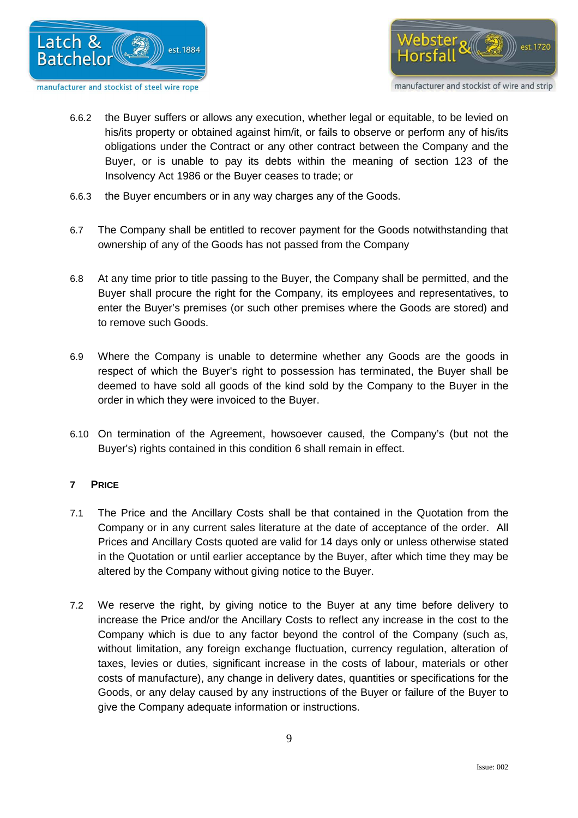



- 6.6.2 the Buyer suffers or allows any execution, whether legal or equitable, to be levied on his/its property or obtained against him/it, or fails to observe or perform any of his/its obligations under the Contract or any other contract between the Company and the Buyer, or is unable to pay its debts within the meaning of section 123 of the Insolvency Act 1986 or the Buyer ceases to trade; or
- 6.6.3 the Buyer encumbers or in any way charges any of the Goods.
- 6.7 The Company shall be entitled to recover payment for the Goods notwithstanding that ownership of any of the Goods has not passed from the Company
- 6.8 At any time prior to title passing to the Buyer, the Company shall be permitted, and the Buyer shall procure the right for the Company, its employees and representatives, to enter the Buyer's premises (or such other premises where the Goods are stored) and to remove such Goods.
- 6.9 Where the Company is unable to determine whether any Goods are the goods in respect of which the Buyer's right to possession has terminated, the Buyer shall be deemed to have sold all goods of the kind sold by the Company to the Buyer in the order in which they were invoiced to the Buyer.
- 6.10 On termination of the Agreement, howsoever caused, the Company's (but not the Buyer's) rights contained in this condition 6 shall remain in effect.

# **7 PRICE**

- 7.1 The Price and the Ancillary Costs shall be that contained in the Quotation from the Company or in any current sales literature at the date of acceptance of the order. All Prices and Ancillary Costs quoted are valid for 14 days only or unless otherwise stated in the Quotation or until earlier acceptance by the Buyer, after which time they may be altered by the Company without giving notice to the Buyer.
- 7.2 We reserve the right, by giving notice to the Buyer at any time before delivery to increase the Price and/or the Ancillary Costs to reflect any increase in the cost to the Company which is due to any factor beyond the control of the Company (such as, without limitation, any foreign exchange fluctuation, currency regulation, alteration of taxes, levies or duties, significant increase in the costs of labour, materials or other costs of manufacture), any change in delivery dates, quantities or specifications for the Goods, or any delay caused by any instructions of the Buyer or failure of the Buyer to give the Company adequate information or instructions.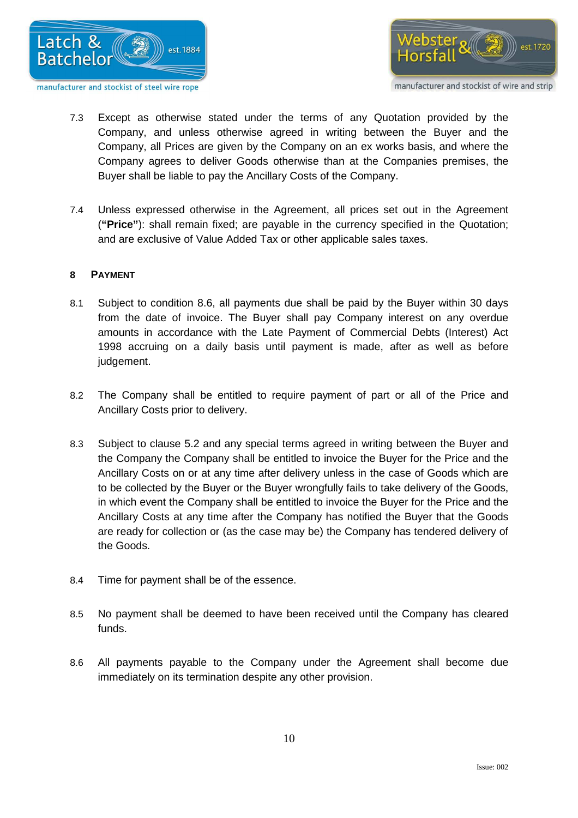



- 7.3 Except as otherwise stated under the terms of any Quotation provided by the Company, and unless otherwise agreed in writing between the Buyer and the Company, all Prices are given by the Company on an ex works basis, and where the Company agrees to deliver Goods otherwise than at the Companies premises, the Buyer shall be liable to pay the Ancillary Costs of the Company.
- 7.4 Unless expressed otherwise in the Agreement, all prices set out in the Agreement (**"Price"**): shall remain fixed; are payable in the currency specified in the Quotation; and are exclusive of Value Added Tax or other applicable sales taxes.

# **8 PAYMENT**

- 8.1 Subject to condition 8.6, all payments due shall be paid by the Buyer within 30 days from the date of invoice. The Buyer shall pay Company interest on any overdue amounts in accordance with the Late Payment of Commercial Debts (Interest) Act 1998 accruing on a daily basis until payment is made, after as well as before judgement.
- 8.2 The Company shall be entitled to require payment of part or all of the Price and Ancillary Costs prior to delivery.
- 8.3 Subject to clause 5.2 and any special terms agreed in writing between the Buyer and the Company the Company shall be entitled to invoice the Buyer for the Price and the Ancillary Costs on or at any time after delivery unless in the case of Goods which are to be collected by the Buyer or the Buyer wrongfully fails to take delivery of the Goods, in which event the Company shall be entitled to invoice the Buyer for the Price and the Ancillary Costs at any time after the Company has notified the Buyer that the Goods are ready for collection or (as the case may be) the Company has tendered delivery of the Goods.
- 8.4 Time for payment shall be of the essence.
- 8.5 No payment shall be deemed to have been received until the Company has cleared funds.
- 8.6 All payments payable to the Company under the Agreement shall become due immediately on its termination despite any other provision.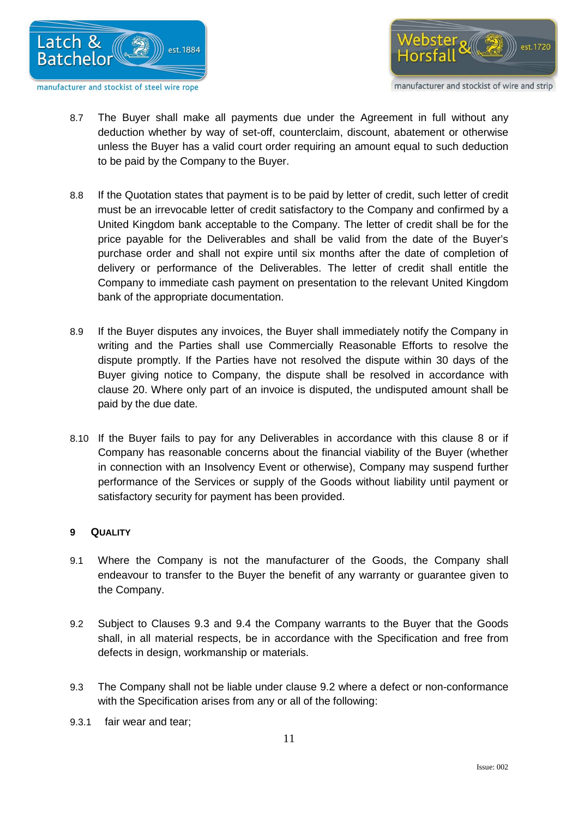



- 8.7 The Buyer shall make all payments due under the Agreement in full without any deduction whether by way of set-off, counterclaim, discount, abatement or otherwise unless the Buyer has a valid court order requiring an amount equal to such deduction to be paid by the Company to the Buyer.
- 8.8 If the Quotation states that payment is to be paid by letter of credit, such letter of credit must be an irrevocable letter of credit satisfactory to the Company and confirmed by a United Kingdom bank acceptable to the Company. The letter of credit shall be for the price payable for the Deliverables and shall be valid from the date of the Buyer's purchase order and shall not expire until six months after the date of completion of delivery or performance of the Deliverables. The letter of credit shall entitle the Company to immediate cash payment on presentation to the relevant United Kingdom bank of the appropriate documentation.
- 8.9 If the Buyer disputes any invoices, the Buyer shall immediately notify the Company in writing and the Parties shall use Commercially Reasonable Efforts to resolve the dispute promptly. If the Parties have not resolved the dispute within 30 days of the Buyer giving notice to Company, the dispute shall be resolved in accordance with clause 20. Where only part of an invoice is disputed, the undisputed amount shall be paid by the due date.
- 8.10 If the Buyer fails to pay for any Deliverables in accordance with this clause 8 or if Company has reasonable concerns about the financial viability of the Buyer (whether in connection with an Insolvency Event or otherwise), Company may suspend further performance of the Services or supply of the Goods without liability until payment or satisfactory security for payment has been provided.

# **9 QUALITY**

- 9.1 Where the Company is not the manufacturer of the Goods, the Company shall endeavour to transfer to the Buyer the benefit of any warranty or guarantee given to the Company.
- 9.2 Subject to Clauses 9.3 and 9.4 the Company warrants to the Buyer that the Goods shall, in all material respects, be in accordance with the Specification and free from defects in design, workmanship or materials.
- 9.3 The Company shall not be liable under clause 9.2 where a defect or non-conformance with the Specification arises from any or all of the following:
- 9.3.1 fair wear and tear;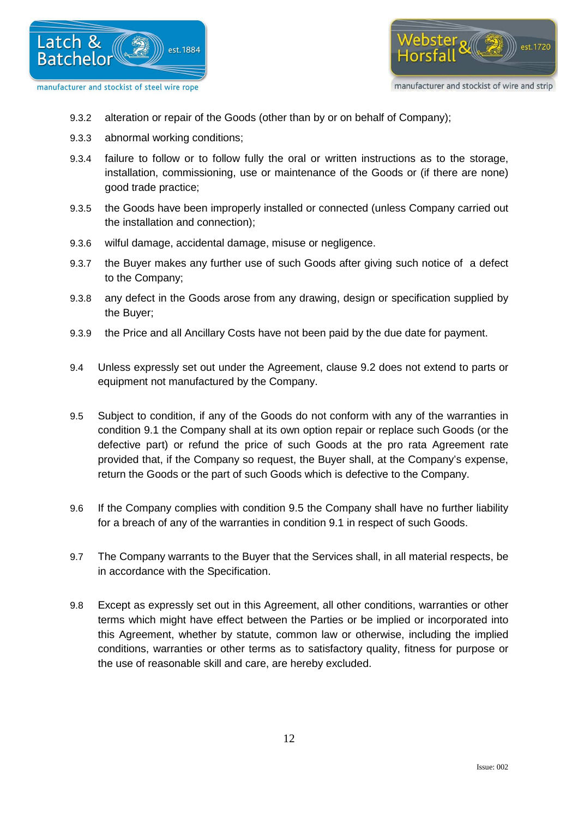



- 9.3.2 alteration or repair of the Goods (other than by or on behalf of Company);
- 9.3.3 abnormal working conditions;
- 9.3.4 failure to follow or to follow fully the oral or written instructions as to the storage, installation, commissioning, use or maintenance of the Goods or (if there are none) good trade practice;
- 9.3.5 the Goods have been improperly installed or connected (unless Company carried out the installation and connection);
- 9.3.6 wilful damage, accidental damage, misuse or negligence.
- 9.3.7 the Buyer makes any further use of such Goods after giving such notice of a defect to the Company;
- 9.3.8 any defect in the Goods arose from any drawing, design or specification supplied by the Buyer;
- 9.3.9 the Price and all Ancillary Costs have not been paid by the due date for payment.
- 9.4 Unless expressly set out under the Agreement, clause 9.2 does not extend to parts or equipment not manufactured by the Company.
- 9.5 Subject to condition, if any of the Goods do not conform with any of the warranties in condition 9.1 the Company shall at its own option repair or replace such Goods (or the defective part) or refund the price of such Goods at the pro rata Agreement rate provided that, if the Company so request, the Buyer shall, at the Company's expense, return the Goods or the part of such Goods which is defective to the Company.
- 9.6 If the Company complies with condition 9.5 the Company shall have no further liability for a breach of any of the warranties in condition 9.1 in respect of such Goods.
- 9.7 The Company warrants to the Buyer that the Services shall, in all material respects, be in accordance with the Specification.
- 9.8 Except as expressly set out in this Agreement, all other conditions, warranties or other terms which might have effect between the Parties or be implied or incorporated into this Agreement, whether by statute, common law or otherwise, including the implied conditions, warranties or other terms as to satisfactory quality, fitness for purpose or the use of reasonable skill and care, are hereby excluded.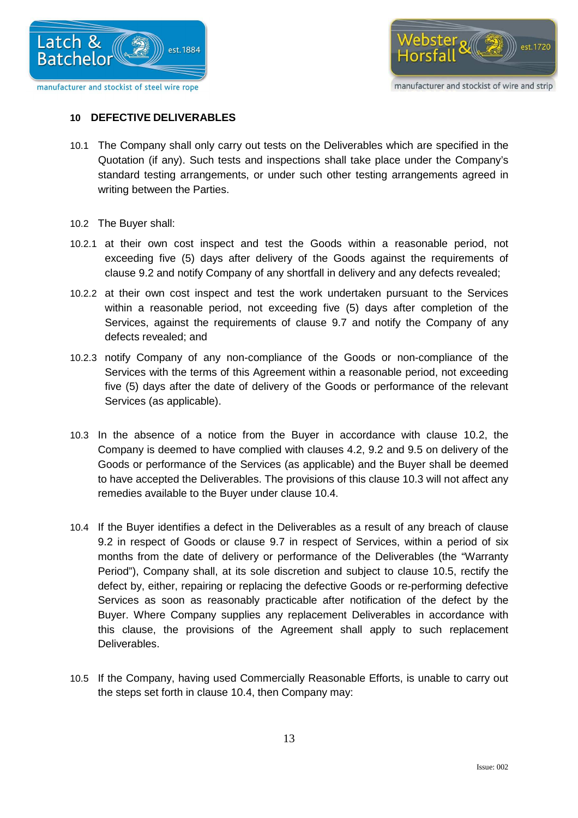



manufacturer and stockist of wire and strip

# **10 DEFECTIVE DELIVERABLES**

- 10.1 The Company shall only carry out tests on the Deliverables which are specified in the Quotation (if any). Such tests and inspections shall take place under the Company's standard testing arrangements, or under such other testing arrangements agreed in writing between the Parties.
- 10.2 The Buyer shall:
- 10.2.1 at their own cost inspect and test the Goods within a reasonable period, not exceeding five (5) days after delivery of the Goods against the requirements of clause 9.2 and notify Company of any shortfall in delivery and any defects revealed;
- 10.2.2 at their own cost inspect and test the work undertaken pursuant to the Services within a reasonable period, not exceeding five (5) days after completion of the Services, against the requirements of clause 9.7 and notify the Company of any defects revealed; and
- 10.2.3 notify Company of any non-compliance of the Goods or non-compliance of the Services with the terms of this Agreement within a reasonable period, not exceeding five (5) days after the date of delivery of the Goods or performance of the relevant Services (as applicable).
- 10.3 In the absence of a notice from the Buyer in accordance with clause 10.2, the Company is deemed to have complied with clauses 4.2, 9.2 and 9.5 on delivery of the Goods or performance of the Services (as applicable) and the Buyer shall be deemed to have accepted the Deliverables. The provisions of this clause 10.3 will not affect any remedies available to the Buyer under clause 10.4.
- 10.4 If the Buyer identifies a defect in the Deliverables as a result of any breach of clause 9.2 in respect of Goods or clause 9.7 in respect of Services, within a period of six months from the date of delivery or performance of the Deliverables (the "Warranty Period"), Company shall, at its sole discretion and subject to clause 10.5, rectify the defect by, either, repairing or replacing the defective Goods or re-performing defective Services as soon as reasonably practicable after notification of the defect by the Buyer. Where Company supplies any replacement Deliverables in accordance with this clause, the provisions of the Agreement shall apply to such replacement Deliverables.
- 10.5 If the Company, having used Commercially Reasonable Efforts, is unable to carry out the steps set forth in clause 10.4, then Company may: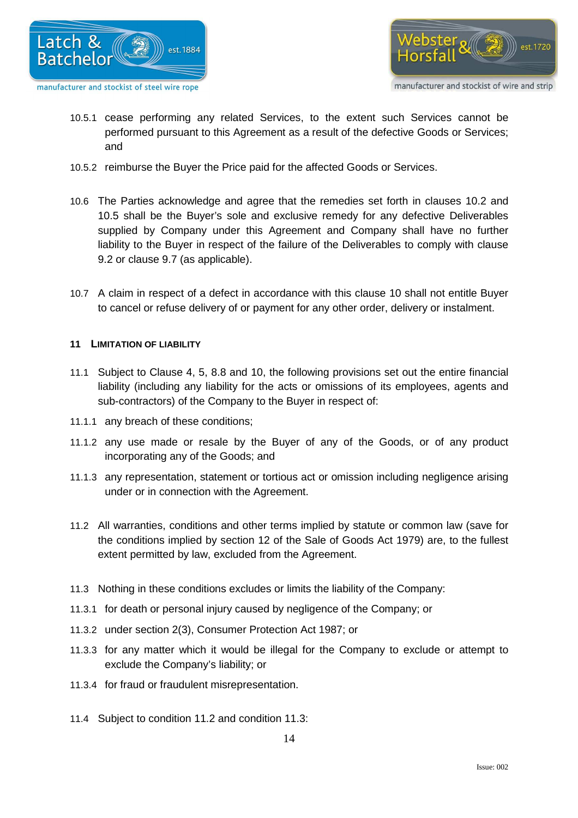



- 10.5.1 cease performing any related Services, to the extent such Services cannot be performed pursuant to this Agreement as a result of the defective Goods or Services; and
- 10.5.2 reimburse the Buyer the Price paid for the affected Goods or Services.
- 10.6 The Parties acknowledge and agree that the remedies set forth in clauses 10.2 and 10.5 shall be the Buyer's sole and exclusive remedy for any defective Deliverables supplied by Company under this Agreement and Company shall have no further liability to the Buyer in respect of the failure of the Deliverables to comply with clause 9.2 or clause 9.7 (as applicable).
- 10.7 A claim in respect of a defect in accordance with this clause 10 shall not entitle Buyer to cancel or refuse delivery of or payment for any other order, delivery or instalment.

#### **11 LIMITATION OF LIABILITY**

- 11.1 Subject to Clause 4, 5, 8.8 and 10, the following provisions set out the entire financial liability (including any liability for the acts or omissions of its employees, agents and sub-contractors) of the Company to the Buyer in respect of:
- 11.1.1 any breach of these conditions;
- 11.1.2 any use made or resale by the Buyer of any of the Goods, or of any product incorporating any of the Goods; and
- 11.1.3 any representation, statement or tortious act or omission including negligence arising under or in connection with the Agreement.
- 11.2 All warranties, conditions and other terms implied by statute or common law (save for the conditions implied by section 12 of the Sale of Goods Act 1979) are, to the fullest extent permitted by law, excluded from the Agreement.
- 11.3 Nothing in these conditions excludes or limits the liability of the Company:
- 11.3.1 for death or personal injury caused by negligence of the Company; or
- 11.3.2 under section 2(3), Consumer Protection Act 1987; or
- 11.3.3 for any matter which it would be illegal for the Company to exclude or attempt to exclude the Company's liability; or
- 11.3.4 for fraud or fraudulent misrepresentation.
- 11.4 Subject to condition 11.2 and condition 11.3: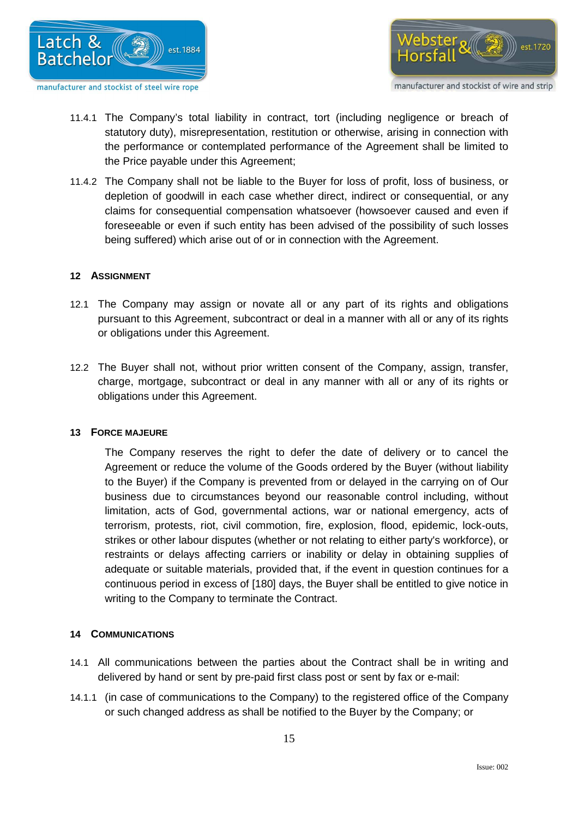



- 11.4.1 The Company's total liability in contract, tort (including negligence or breach of statutory duty), misrepresentation, restitution or otherwise, arising in connection with the performance or contemplated performance of the Agreement shall be limited to the Price payable under this Agreement;
- 11.4.2 The Company shall not be liable to the Buyer for loss of profit, loss of business, or depletion of goodwill in each case whether direct, indirect or consequential, or any claims for consequential compensation whatsoever (howsoever caused and even if foreseeable or even if such entity has been advised of the possibility of such losses being suffered) which arise out of or in connection with the Agreement.

#### **12 ASSIGNMENT**

- 12.1 The Company may assign or novate all or any part of its rights and obligations pursuant to this Agreement, subcontract or deal in a manner with all or any of its rights or obligations under this Agreement.
- 12.2 The Buyer shall not, without prior written consent of the Company, assign, transfer, charge, mortgage, subcontract or deal in any manner with all or any of its rights or obligations under this Agreement.

#### **13 FORCE MAJEURE**

The Company reserves the right to defer the date of delivery or to cancel the Agreement or reduce the volume of the Goods ordered by the Buyer (without liability to the Buyer) if the Company is prevented from or delayed in the carrying on of Our business due to circumstances beyond our reasonable control including, without limitation, acts of God, governmental actions, war or national emergency, acts of terrorism, protests, riot, civil commotion, fire, explosion, flood, epidemic, lock-outs, strikes or other labour disputes (whether or not relating to either party's workforce), or restraints or delays affecting carriers or inability or delay in obtaining supplies of adequate or suitable materials, provided that, if the event in question continues for a continuous period in excess of [180] days, the Buyer shall be entitled to give notice in writing to the Company to terminate the Contract.

# **14 COMMUNICATIONS**

- 14.1 All communications between the parties about the Contract shall be in writing and delivered by hand or sent by pre-paid first class post or sent by fax or e-mail:
- 14.1.1 (in case of communications to the Company) to the registered office of the Company or such changed address as shall be notified to the Buyer by the Company; or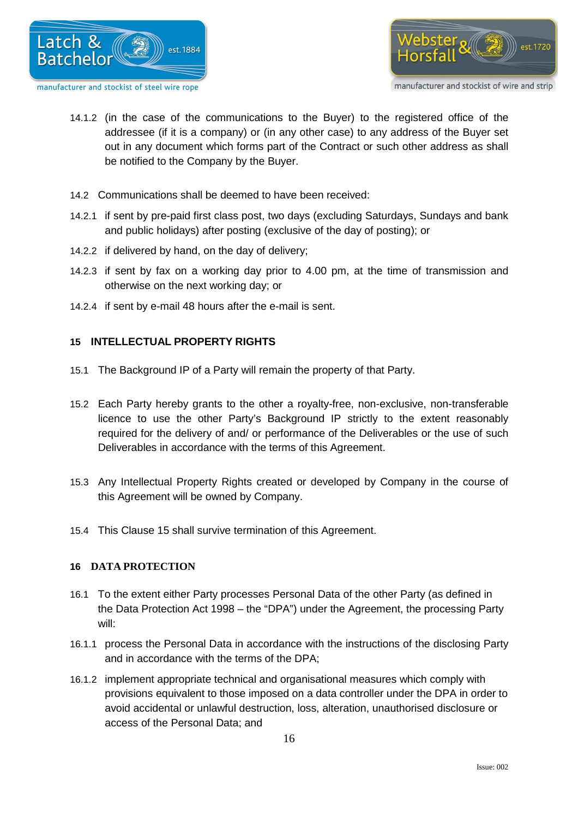



- 14.1.2 (in the case of the communications to the Buyer) to the registered office of the addressee (if it is a company) or (in any other case) to any address of the Buyer set out in any document which forms part of the Contract or such other address as shall be notified to the Company by the Buyer.
- 14.2 Communications shall be deemed to have been received:
- 14.2.1 if sent by pre-paid first class post, two days (excluding Saturdays, Sundays and bank and public holidays) after posting (exclusive of the day of posting); or
- 14.2.2 if delivered by hand, on the day of delivery;
- 14.2.3 if sent by fax on a working day prior to 4.00 pm, at the time of transmission and otherwise on the next working day; or
- 14.2.4 if sent by e-mail 48 hours after the e-mail is sent.

# **15 INTELLECTUAL PROPERTY RIGHTS**

- 15.1 The Background IP of a Party will remain the property of that Party.
- 15.2 Each Party hereby grants to the other a royalty-free, non-exclusive, non-transferable licence to use the other Party's Background IP strictly to the extent reasonably required for the delivery of and/ or performance of the Deliverables or the use of such Deliverables in accordance with the terms of this Agreement.
- 15.3 Any Intellectual Property Rights created or developed by Company in the course of this Agreement will be owned by Company.
- 15.4 This Clause 15 shall survive termination of this Agreement.

# **16 DATA PROTECTION**

- 16.1 To the extent either Party processes Personal Data of the other Party (as defined in the Data Protection Act 1998 – the "DPA") under the Agreement, the processing Party will:
- 16.1.1 process the Personal Data in accordance with the instructions of the disclosing Party and in accordance with the terms of the DPA;
- 16.1.2 implement appropriate technical and organisational measures which comply with provisions equivalent to those imposed on a data controller under the DPA in order to avoid accidental or unlawful destruction, loss, alteration, unauthorised disclosure or access of the Personal Data; and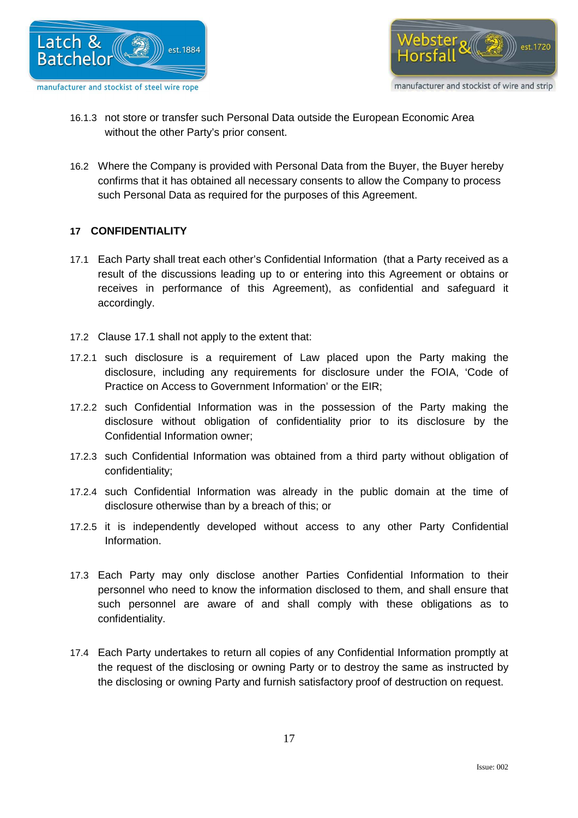



- 16.1.3 not store or transfer such Personal Data outside the European Economic Area without the other Party's prior consent.
- 16.2 Where the Company is provided with Personal Data from the Buyer, the Buyer hereby confirms that it has obtained all necessary consents to allow the Company to process such Personal Data as required for the purposes of this Agreement.

# **17 CONFIDENTIALITY**

- 17.1 Each Party shall treat each other's Confidential Information (that a Party received as a result of the discussions leading up to or entering into this Agreement or obtains or receives in performance of this Agreement), as confidential and safeguard it accordingly.
- 17.2 Clause 17.1 shall not apply to the extent that:
- 17.2.1 such disclosure is a requirement of Law placed upon the Party making the disclosure, including any requirements for disclosure under the FOIA, 'Code of Practice on Access to Government Information' or the EIR;
- 17.2.2 such Confidential Information was in the possession of the Party making the disclosure without obligation of confidentiality prior to its disclosure by the Confidential Information owner;
- 17.2.3 such Confidential Information was obtained from a third party without obligation of confidentiality;
- 17.2.4 such Confidential Information was already in the public domain at the time of disclosure otherwise than by a breach of this; or
- 17.2.5 it is independently developed without access to any other Party Confidential Information.
- 17.3 Each Party may only disclose another Parties Confidential Information to their personnel who need to know the information disclosed to them, and shall ensure that such personnel are aware of and shall comply with these obligations as to confidentiality.
- 17.4 Each Party undertakes to return all copies of any Confidential Information promptly at the request of the disclosing or owning Party or to destroy the same as instructed by the disclosing or owning Party and furnish satisfactory proof of destruction on request.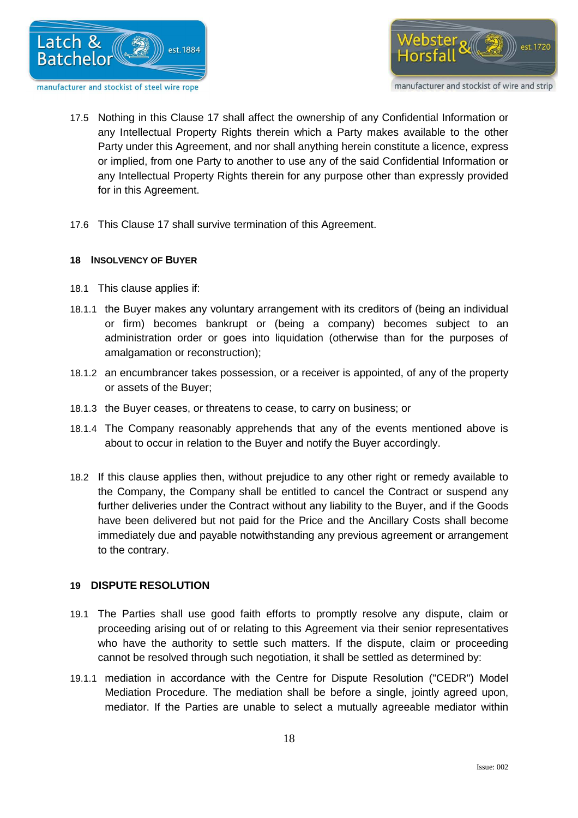



manufacturer and stockist of wire and strip

- 17.5 Nothing in this Clause 17 shall affect the ownership of any Confidential Information or any Intellectual Property Rights therein which a Party makes available to the other Party under this Agreement, and nor shall anything herein constitute a licence, express or implied, from one Party to another to use any of the said Confidential Information or any Intellectual Property Rights therein for any purpose other than expressly provided for in this Agreement.
- 17.6 This Clause 17 shall survive termination of this Agreement.

#### **18 INSOLVENCY OF BUYER**

- 18.1 This clause applies if:
- 18.1.1 the Buyer makes any voluntary arrangement with its creditors of (being an individual or firm) becomes bankrupt or (being a company) becomes subject to an administration order or goes into liquidation (otherwise than for the purposes of amalgamation or reconstruction);
- 18.1.2 an encumbrancer takes possession, or a receiver is appointed, of any of the property or assets of the Buyer;
- 18.1.3 the Buyer ceases, or threatens to cease, to carry on business; or
- 18.1.4 The Company reasonably apprehends that any of the events mentioned above is about to occur in relation to the Buyer and notify the Buyer accordingly.
- 18.2 If this clause applies then, without prejudice to any other right or remedy available to the Company, the Company shall be entitled to cancel the Contract or suspend any further deliveries under the Contract without any liability to the Buyer, and if the Goods have been delivered but not paid for the Price and the Ancillary Costs shall become immediately due and payable notwithstanding any previous agreement or arrangement to the contrary.

# **19 DISPUTE RESOLUTION**

- 19.1 The Parties shall use good faith efforts to promptly resolve any dispute, claim or proceeding arising out of or relating to this Agreement via their senior representatives who have the authority to settle such matters. If the dispute, claim or proceeding cannot be resolved through such negotiation, it shall be settled as determined by:
- 19.1.1 mediation in accordance with the Centre for Dispute Resolution ("CEDR") Model Mediation Procedure. The mediation shall be before a single, jointly agreed upon, mediator. If the Parties are unable to select a mutually agreeable mediator within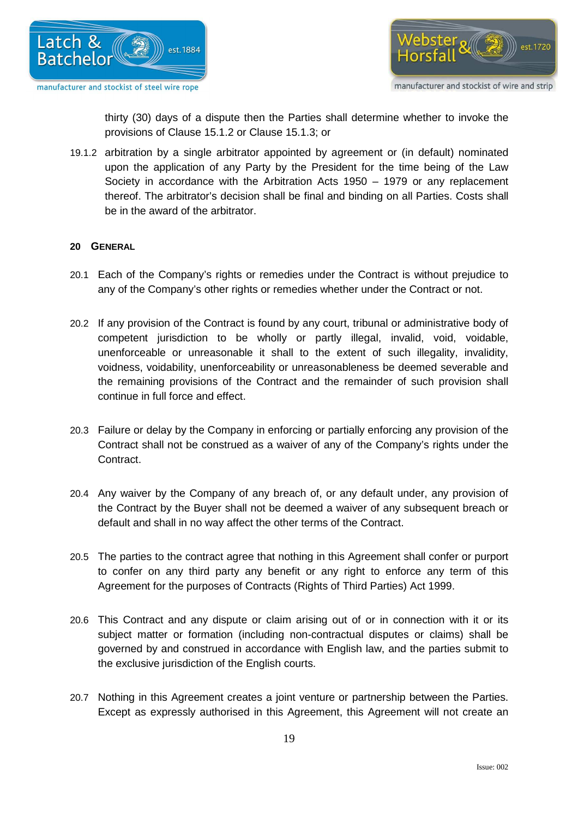



thirty (30) days of a dispute then the Parties shall determine whether to invoke the provisions of Clause 15.1.2 or Clause 15.1.3; or

19.1.2 arbitration by a single arbitrator appointed by agreement or (in default) nominated upon the application of any Party by the President for the time being of the Law Society in accordance with the Arbitration Acts 1950 – 1979 or any replacement thereof. The arbitrator's decision shall be final and binding on all Parties. Costs shall be in the award of the arbitrator.

#### **20 GENERAL**

- 20.1 Each of the Company's rights or remedies under the Contract is without prejudice to any of the Company's other rights or remedies whether under the Contract or not.
- 20.2 If any provision of the Contract is found by any court, tribunal or administrative body of competent jurisdiction to be wholly or partly illegal, invalid, void, voidable, unenforceable or unreasonable it shall to the extent of such illegality, invalidity, voidness, voidability, unenforceability or unreasonableness be deemed severable and the remaining provisions of the Contract and the remainder of such provision shall continue in full force and effect.
- 20.3 Failure or delay by the Company in enforcing or partially enforcing any provision of the Contract shall not be construed as a waiver of any of the Company's rights under the Contract.
- 20.4 Any waiver by the Company of any breach of, or any default under, any provision of the Contract by the Buyer shall not be deemed a waiver of any subsequent breach or default and shall in no way affect the other terms of the Contract.
- 20.5 The parties to the contract agree that nothing in this Agreement shall confer or purport to confer on any third party any benefit or any right to enforce any term of this Agreement for the purposes of Contracts (Rights of Third Parties) Act 1999.
- 20.6 This Contract and any dispute or claim arising out of or in connection with it or its subject matter or formation (including non-contractual disputes or claims) shall be governed by and construed in accordance with English law, and the parties submit to the exclusive jurisdiction of the English courts.
- 20.7 Nothing in this Agreement creates a joint venture or partnership between the Parties. Except as expressly authorised in this Agreement, this Agreement will not create an